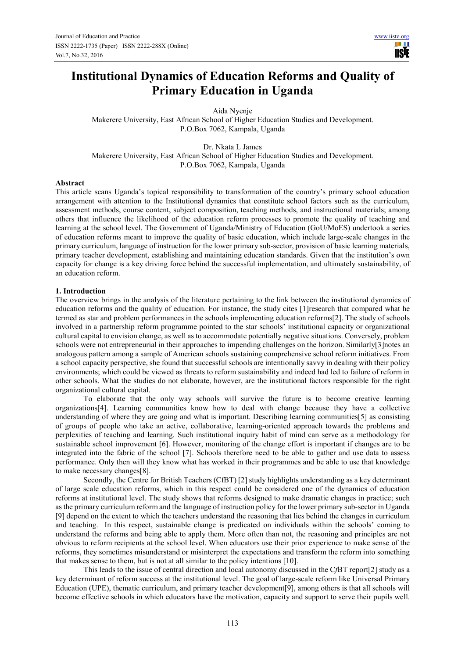# **Institutional Dynamics of Education Reforms and Quality of Primary Education in Uganda**

Aida Nyenje

Makerere University, East African School of Higher Education Studies and Development. P.O.Box 7062, Kampala, Uganda

Dr. Nkata L James Makerere University, East African School of Higher Education Studies and Development. P.O.Box 7062, Kampala, Uganda

#### **Abstract**

This article scans Uganda's topical responsibility to transformation of the country's primary school education arrangement with attention to the Institutional dynamics that constitute school factors such as the curriculum, assessment methods, course content, subject composition, teaching methods, and instructional materials; among others that influence the likelihood of the education reform processes to promote the quality of teaching and learning at the school level. The Government of Uganda/Ministry of Education (GoU/MoES) undertook a series of education reforms meant to improve the quality of basic education, which include large-scale changes in the primary curriculum, language of instruction for the lower primary sub-sector, provision of basic learning materials, primary teacher development, establishing and maintaining education standards. Given that the institution's own capacity for change is a key driving force behind the successful implementation, and ultimately sustainability, of an education reform.

#### **1. Introduction**

The overview brings in the analysis of the literature pertaining to the link between the institutional dynamics of education reforms and the quality of education. For instance, the study cites [1]research that compared what he termed as star and problem performances in the schools implementing education reforms[2]. The study of schools involved in a partnership reform programme pointed to the star schools' institutional capacity or organizational cultural capital to envision change, as well as to accommodate potentially negative situations. Conversely, problem schools were not entrepreneurial in their approaches to impending challenges on the horizon. Similarly[3]notes an analogous pattern among a sample of American schools sustaining comprehensive school reform initiatives. From a school capacity perspective, she found that successful schools are intentionally savvy in dealing with their policy environments; which could be viewed as threats to reform sustainability and indeed had led to failure of reform in other schools. What the studies do not elaborate, however, are the institutional factors responsible for the right organizational cultural capital.

To elaborate that the only way schools will survive the future is to become creative learning organizations[4]. Learning communities know how to deal with change because they have a collective understanding of where they are going and what is important. Describing learning communities[5] as consisting of groups of people who take an active, collaborative, learning-oriented approach towards the problems and perplexities of teaching and learning. Such institutional inquiry habit of mind can serve as a methodology for sustainable school improvement [6]. However, monitoring of the change effort is important if changes are to be integrated into the fabric of the school [7]. Schools therefore need to be able to gather and use data to assess performance. Only then will they know what has worked in their programmes and be able to use that knowledge to make necessary changes[8].

Secondly, the Centre for British Teachers (CfBT) [2] study highlights understanding as a key determinant of large scale education reforms, which in this respect could be considered one of the dynamics of education reforms at institutional level. The study shows that reforms designed to make dramatic changes in practice; such as the primary curriculum reform and the language of instruction policy for the lower primary sub-sector in Uganda [9] depend on the extent to which the teachers understand the reasoning that lies behind the changes in curriculum and teaching. In this respect, sustainable change is predicated on individuals within the schools' coming to understand the reforms and being able to apply them. More often than not, the reasoning and principles are not obvious to reform recipients at the school level. When educators use their prior experience to make sense of the reforms, they sometimes misunderstand or misinterpret the expectations and transform the reform into something that makes sense to them, but is not at all similar to the policy intentions [10].

This leads to the issue of central direction and local autonomy discussed in the C*f*BT report[2] study as a key determinant of reform success at the institutional level. The goal of large-scale reform like Universal Primary Education (UPE), thematic curriculum, and primary teacher development[9], among others is that all schools will become effective schools in which educators have the motivation, capacity and support to serve their pupils well.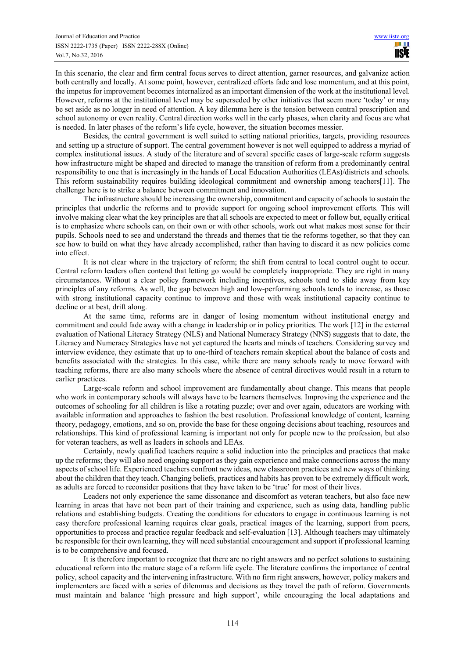In this scenario, the clear and firm central focus serves to direct attention, garner resources, and galvanize action both centrally and locally. At some point, however, centralized efforts fade and lose momentum, and at this point, the impetus for improvement becomes internalized as an important dimension of the work at the institutional level. However, reforms at the institutional level may be superseded by other initiatives that seem more 'today' or may be set aside as no longer in need of attention. A key dilemma here is the tension between central prescription and school autonomy or even reality. Central direction works well in the early phases, when clarity and focus are what is needed. In later phases of the reform's life cycle, however, the situation becomes messier.

Besides, the central government is well suited to setting national priorities, targets, providing resources and setting up a structure of support. The central government however is not well equipped to address a myriad of complex institutional issues. A study of the literature and of several specific cases of large-scale reform suggests how infrastructure might be shaped and directed to manage the transition of reform from a predominantly central responsibility to one that is increasingly in the hands of Local Education Authorities (LEAs)/districts and schools. This reform sustainability requires building ideological commitment and ownership among teachers[11]. The challenge here is to strike a balance between commitment and innovation.

The infrastructure should be increasing the ownership, commitment and capacity of schools to sustain the principles that underlie the reforms and to provide support for ongoing school improvement efforts. This will involve making clear what the key principles are that all schools are expected to meet or follow but, equally critical is to emphasize where schools can, on their own or with other schools, work out what makes most sense for their pupils. Schools need to see and understand the threads and themes that tie the reforms together, so that they can see how to build on what they have already accomplished, rather than having to discard it as new policies come into effect.

It is not clear where in the trajectory of reform; the shift from central to local control ought to occur. Central reform leaders often contend that letting go would be completely inappropriate. They are right in many circumstances. Without a clear policy framework including incentives, schools tend to slide away from key principles of any reforms. As well, the gap between high and low-performing schools tends to increase, as those with strong institutional capacity continue to improve and those with weak institutional capacity continue to decline or at best, drift along.

At the same time, reforms are in danger of losing momentum without institutional energy and commitment and could fade away with a change in leadership or in policy priorities. The work [12] in the external evaluation of National Literacy Strategy (NLS) and National Numeracy Strategy (NNS) suggests that to date, the Literacy and Numeracy Strategies have not yet captured the hearts and minds of teachers. Considering survey and interview evidence, they estimate that up to one-third of teachers remain skeptical about the balance of costs and benefits associated with the strategies. In this case, while there are many schools ready to move forward with teaching reforms, there are also many schools where the absence of central directives would result in a return to earlier practices.

Large-scale reform and school improvement are fundamentally about change. This means that people who work in contemporary schools will always have to be learners themselves. Improving the experience and the outcomes of schooling for all children is like a rotating puzzle; over and over again, educators are working with available information and approaches to fashion the best resolution. Professional knowledge of content, learning theory, pedagogy, emotions, and so on, provide the base for these ongoing decisions about teaching, resources and relationships. This kind of professional learning is important not only for people new to the profession, but also for veteran teachers, as well as leaders in schools and LEAs.

Certainly, newly qualified teachers require a solid induction into the principles and practices that make up the reforms; they will also need ongoing support as they gain experience and make connections across the many aspects of school life. Experienced teachers confront new ideas, new classroom practices and new ways of thinking about the children that they teach. Changing beliefs, practices and habits has proven to be extremely difficult work, as adults are forced to reconsider positions that they have taken to be 'true' for most of their lives.

Leaders not only experience the same dissonance and discomfort as veteran teachers, but also face new learning in areas that have not been part of their training and experience, such as using data, handling public relations and establishing budgets. Creating the conditions for educators to engage in continuous learning is not easy therefore professional learning requires clear goals, practical images of the learning, support from peers, opportunities to process and practice regular feedback and self-evaluation [13]. Although teachers may ultimately be responsible for their own learning, they will need substantial encouragement and support if professional learning is to be comprehensive and focused.

It is therefore important to recognize that there are no right answers and no perfect solutions to sustaining educational reform into the mature stage of a reform life cycle. The literature confirms the importance of central policy, school capacity and the intervening infrastructure. With no firm right answers, however, policy makers and implementers are faced with a series of dilemmas and decisions as they travel the path of reform. Governments must maintain and balance 'high pressure and high support', while encouraging the local adaptations and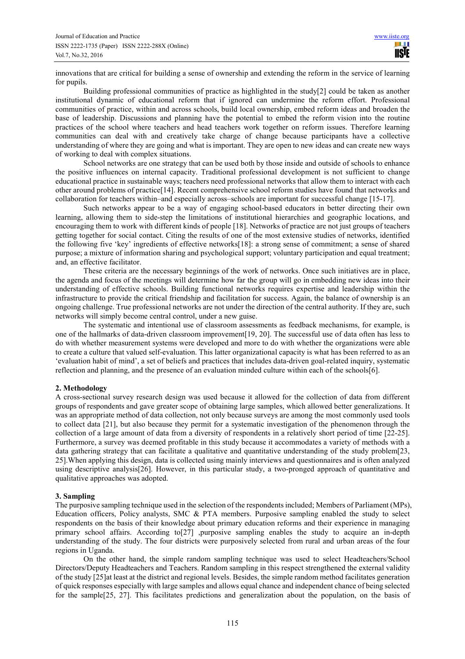innovations that are critical for building a sense of ownership and extending the reform in the service of learning for pupils.

Building professional communities of practice as highlighted in the study[2] could be taken as another institutional dynamic of educational reform that if ignored can undermine the reform effort. Professional communities of practice, within and across schools, build local ownership, embed reform ideas and broaden the base of leadership. Discussions and planning have the potential to embed the reform vision into the routine practices of the school where teachers and head teachers work together on reform issues. Therefore learning communities can deal with and creatively take charge of change because participants have a collective understanding of where they are going and what is important. They are open to new ideas and can create new ways of working to deal with complex situations.

School networks are one strategy that can be used both by those inside and outside of schools to enhance the positive influences on internal capacity. Traditional professional development is not sufficient to change educational practice in sustainable ways; teachers need professional networks that allow them to interact with each other around problems of practice[14]. Recent comprehensive school reform studies have found that networks and collaboration for teachers within–and especially across–schools are important for successful change [15-17].

Such networks appear to be a way of engaging school-based educators in better directing their own learning, allowing them to side-step the limitations of institutional hierarchies and geographic locations, and encouraging them to work with different kinds of people [18]. Networks of practice are not just groups of teachers getting together for social contact. Citing the results of one of the most extensive studies of networks, identified the following five 'key' ingredients of effective networks[18]: a strong sense of commitment; a sense of shared purpose; a mixture of information sharing and psychological support; voluntary participation and equal treatment; and, an effective facilitator.

These criteria are the necessary beginnings of the work of networks. Once such initiatives are in place, the agenda and focus of the meetings will determine how far the group will go in embedding new ideas into their understanding of effective schools. Building functional networks requires expertise and leadership within the infrastructure to provide the critical friendship and facilitation for success. Again, the balance of ownership is an ongoing challenge. True professional networks are not under the direction of the central authority. If they are, such networks will simply become central control, under a new guise.

The systematic and intentional use of classroom assessments as feedback mechanisms, for example, is one of the hallmarks of data-driven classroom improvement[19, 20]. The successful use of data often has less to do with whether measurement systems were developed and more to do with whether the organizations were able to create a culture that valued self-evaluation. This latter organizational capacity is what has been referred to as an 'evaluation habit of mind', a set of beliefs and practices that includes data-driven goal-related inquiry, systematic reflection and planning, and the presence of an evaluation minded culture within each of the schools[6].

# **2. Methodology**

A cross-sectional survey research design was used because it allowed for the collection of data from different groups of respondents and gave greater scope of obtaining large samples, which allowed better generalizations. It was an appropriate method of data collection, not only because surveys are among the most commonly used tools to collect data [21], but also because they permit for a systematic investigation of the phenomenon through the collection of a large amount of data from a diversity of respondents in a relatively short period of time [22-25]. Furthermore, a survey was deemed profitable in this study because it accommodates a variety of methods with a data gathering strategy that can facilitate a qualitative and quantitative understanding of the study problem[23, 25].When applying this design, data is collected using mainly interviews and questionnaires and is often analyzed using descriptive analysis[26]. However, in this particular study, a two-pronged approach of quantitative and qualitative approaches was adopted.

#### **3. Sampling**

The purposive sampling technique used in the selection of the respondents included; Members of Parliament (MPs), Education officers, Policy analysts, SMC & PTA members. Purposive sampling enabled the study to select respondents on the basis of their knowledge about primary education reforms and their experience in managing primary school affairs. According to<sup>[27]</sup> ,purposive sampling enables the study to acquire an in-depth understanding of the study. The four districts were purposively selected from rural and urban areas of the four regions in Uganda.

On the other hand, the simple random sampling technique was used to select Headteachers/School Directors/Deputy Headteachers and Teachers. Random sampling in this respect strengthened the external validity of the study [25]at least at the district and regional levels. Besides, the simple random method facilitates generation of quick responses especially with large samples and allows equal chance and independent chance of being selected for the sample[25, 27]. This facilitates predictions and generalization about the population, on the basis of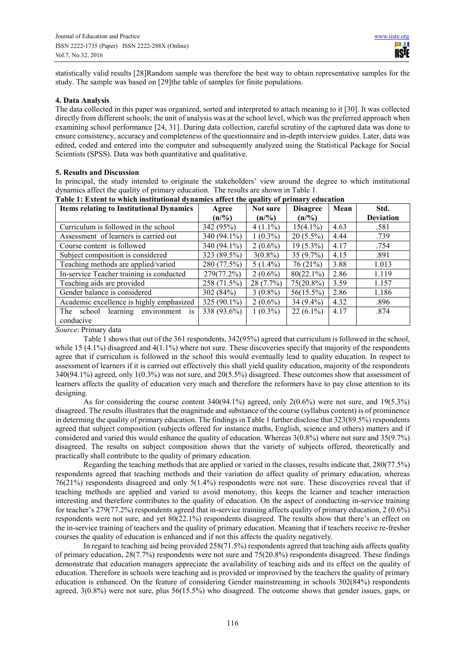statistically valid results [28]Random sample was therefore the best way to obtain representative samples for the study. The sample was based on [29]the table of samples for finite populations.

# **4. Data Analysis**

The data collected in this paper was organized, sorted and interpreted to attach meaning to it [30]. It was collected directly from different schools; the unit of analysis was at the school level, which was the preferred approach when examining school performance [24, 31]. During data collection, careful scrutiny of the captured data was done to ensure consistency, accuracy and completeness of the questionnaire and in-depth interview guides. Later, data was edited, coded and entered into the computer and subsequently analyzed using the Statistical Package for Social Scientists (SPSS). Data was both quantitative and qualitative.

## **5. Results and Discussion**

In principal, the study intended to originate the stakeholders' view around the degree to which institutional dynamics affect the quality of primary education. The results are shown in Table 1.

| <b>Items relating to Institutional Dynamics</b>       | Agree          | Not sure    | $\ldots, \ldots,$<br><b>Disagree</b> | Mean | Std.             |
|-------------------------------------------------------|----------------|-------------|--------------------------------------|------|------------------|
|                                                       | (n/9/6)        | (n/9/6)     | (n/%)                                |      | <b>Deviation</b> |
| Curriculum is followed in the school                  | 342 (95%)      | $4(1.1\%)$  | $15(4.1\%)$                          | 4.63 | .581             |
| Assessment of learners is carried out                 | 340 (94.1%)    | $1(0.3\%)$  | $20(5.5\%)$                          | 4.44 | .739             |
| Course content is followed                            | 340 (94.1%)    | $2(0.6\%)$  | $19(5.3\%)$                          | 4.17 | .754             |
| Subject composition is considered                     | 323 (89.5%)    | $3(0.8\%)$  | $35(9.7\%)$                          | 4.15 | .891             |
| Teaching methods are applied/varied                   | 280 (77.5%)    | $5(1.4\%)$  | 76(21%)                              | 3.88 | 1.013            |
| In-service Teacher training is conducted              | 279(77.2%)     | $2(0.6\%)$  | $80(22.1\%)$                         | 2.86 | 1.119            |
| Teaching aids are provided                            | 258 (71.5%)    | $28(7.7\%)$ | $75(20.8\%)$                         | 3.59 | 1.157            |
| Gender balance is considered                          | 302(84%)       | $3(0.8\%)$  | $56(15.5\%)$                         | 2.86 | 1.186            |
| Academic excellence is highly emphasized              | 325 $(90.1\%)$ | $2(0.6\%)$  | $34(9.4\%)$                          | 4.32 | .896             |
| The<br>school<br>environment<br>learning<br><b>1S</b> | 338 (93.6%)    | $1(0.3\%)$  | $22(6.1\%)$                          | 4.17 | .874             |
| conducive                                             |                |             |                                      |      |                  |

**Table 1: Extent to which institutional dynamics affect the quality of primary education** 

*Source*: Primary data

Table 1 shows that out of the 361 respondents, 342(95%) agreed that curriculum is followed in the school, while 15 (4.1%) disagreed and  $4(1.1\%)$  where not sure. These discoveries specify that majority of the respondents agree that if curriculum is followed in the school this would eventually lead to quality education. In respect to assessment of learners if it is carried out effectively this shall yield quality education, majority of the respondents 340(94.1%) agreed, only 1(0.3%) was not sure, and 20(5.5%) disagreed. These outcomes show that assessment of learners affects the quality of education very much and therefore the reformers have to pay close attention to its designing.

As for considering the course content  $340(94.1\%)$  agreed, only  $2(0.6\%)$  were not sure, and  $19(5.3\%)$ disagreed. The results illustrates that the magnitude and substance of the course (syllabus content) is of prominence in determing the quality of primary education. The findings in Table 1 further disclose that 323(89.5%) respondents agreed that subject composition (subjects offered for instance maths, English, science and others) matters and if considered and varied this would enhance the quality of education. Whereas 3(0.8%) where not sure and 35(9.7%) disagreed. The results on subject composition shows that the variety of subjects offered, theoretically and practically shall contribute to the quality of primary education.

Regarding the teaching methods that are applied or varied in the classes, results indicate that, 280(77.5%) respondents agreed that teaching methods and their variation do affect quality of primary education, whereas 76(21%) respondents disagreed and only 5(1.4%) respondents were not sure. These discoveries reveal that if teaching methods are applied and varied to avoid monotony, this keeps the learner and teacher interaction interesting and therefore contributes to the quality of education. On the aspect of conducting in-service training for teacher's 279(77.2%) respondents agreed that in-service training affects quality of primary education, 2 (0.6%) respondents were not sure, and yet 80(22.1%) respondents disagreed. The results show that there's an effect on the in-service training of teachers and the quality of primary education. Meaning that if teachers receive re-fresher courses the quality of education is enhanced and if not this affects the quality negatively.

In regard to teaching aid being provided 258(71.5%) respondents agreed that teaching aids affects quality of primary education,  $28(7.7%)$  respondents were not sure and  $75(20.8%)$  respondents disagreed. These findings demonstrate that education managers appreciate the availability of teaching aids and its effect on the quality of education. Therefore in schools were teaching aid is provided or improvised by the teachers the quality of primary education is enhanced. On the feature of considering Gender mainstreaming in schools 302(84%) respondents agreed, 3(0.8%) were not sure, plus 56(15.5%) who disagreed. The outcome shows that gender issues, gaps, or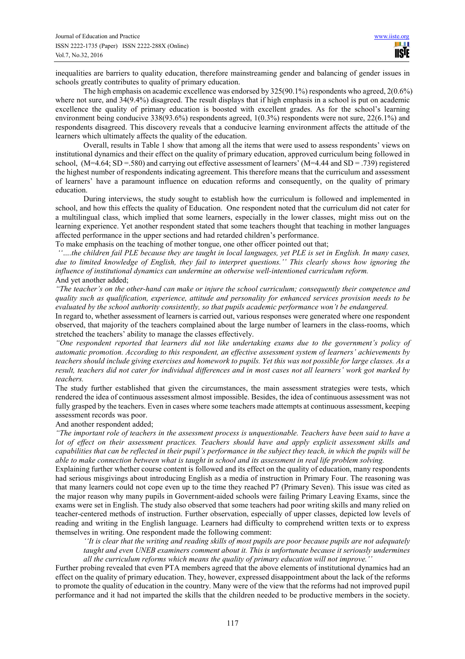inequalities are barriers to quality education, therefore mainstreaming gender and balancing of gender issues in schools greatly contributes to quality of primary education.

The high emphasis on academic excellence was endorsed by 325(90.1%) respondents who agreed, 2(0.6%) where not sure, and  $34(9.4\%)$  disagreed. The result displays that if high emphasis in a school is put on academic excellence the quality of primary education is boosted with excellent grades. As for the school's learning environment being conducive 338(93.6%) respondents agreed, 1(0.3%) respondents were not sure, 22(6.1%) and respondents disagreed. This discovery reveals that a conducive learning environment affects the attitude of the learners which ultimately affects the quality of the education.

Overall, results in Table 1 show that among all the items that were used to assess respondents' views on institutional dynamics and their effect on the quality of primary education, approved curriculum being followed in school, (M=4.64; SD =.580) and carrying out effective assessment of learners' (M=4.44 and SD = .739) registered the highest number of respondents indicating agreement. This therefore means that the curriculum and assessment of learners' have a paramount influence on education reforms and consequently, on the quality of primary education.

During interviews, the study sought to establish how the curriculum is followed and implemented in school, and how this effects the quality of Education. One respondent noted that the curriculum did not cater for a multilingual class, which implied that some learners, especially in the lower classes, might miss out on the learning experience. Yet another respondent stated that some teachers thought that teaching in mother languages affected performance in the upper sections and had retarded children's performance.

To make emphasis on the teaching of mother tongue, one other officer pointed out that;

 *''….the children fail PLE because they are taught in local languages, yet PLE is set in English. In many cases, due to limited knowledge of English, they fail to interpret questions.'' This clearly shows how ignoring the influence of institutional dynamics can undermine an otherwise well-intentioned curriculum reform.*  And yet another added;

*"The teacher's on the other-hand can make or injure the school curriculum; consequently their competence and quality such as qualification, experience, attitude and personality for enhanced services provision needs to be evaluated by the school authority consistently, so that pupils academic performance won't be endangered.* 

In regard to, whether assessment of learners is carried out, various responses were generated where one respondent observed, that majority of the teachers complained about the large number of learners in the class-rooms, which stretched the teachers' ability to manage the classes effectively.

*"One respondent reported that learners did not like undertaking exams due to the government's policy of automatic promotion. According to this respondent, an effective assessment system of learners' achievements by teachers should include giving exercises and homework to pupils. Yet this was not possible for large classes. As a result, teachers did not cater for individual differences and in most cases not all learners' work got marked by teachers.* 

The study further established that given the circumstances, the main assessment strategies were tests, which rendered the idea of continuous assessment almost impossible. Besides, the idea of continuous assessment was not fully grasped by the teachers. Even in cases where some teachers made attempts at continuous assessment, keeping assessment records was poor.

And another respondent added;

*"The important role of teachers in the assessment process is unquestionable. Teachers have been said to have a lot of effect on their assessment practices. Teachers should have and apply explicit assessment skills and capabilities that can be reflected in their pupil's performance in the subject they teach, in which the pupils will be able to make connection between what is taught in school and its assessment in real life problem solving.* 

Explaining further whether course content is followed and its effect on the quality of education, many respondents had serious misgivings about introducing English as a media of instruction in Primary Four. The reasoning was that many learners could not cope even up to the time they reached P7 (Primary Seven). This issue was cited as the major reason why many pupils in Government-aided schools were failing Primary Leaving Exams, since the exams were set in English. The study also observed that some teachers had poor writing skills and many relied on teacher-centered methods of instruction. Further observation, especially of upper classes, depicted low levels of reading and writing in the English language. Learners had difficulty to comprehend written texts or to express themselves in writing. One respondent made the following comment:

*''It is clear that the writing and reading skills of most pupils are poor because pupils are not adequately taught and even UNEB examiners comment about it. This is unfortunate because it seriously undermines all the curriculum reforms which means the quality of primary education will not improve.''* 

Further probing revealed that even PTA members agreed that the above elements of institutional dynamics had an effect on the quality of primary education. They, however, expressed disappointment about the lack of the reforms to promote the quality of education in the country. Many were of the view that the reforms had not improved pupil performance and it had not imparted the skills that the children needed to be productive members in the society.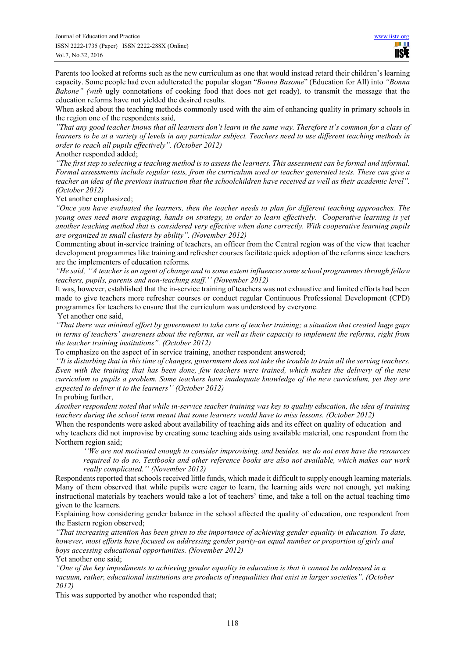Parents too looked at reforms such as the new curriculum as one that would instead retard their children's learning capacity. Some people had even adulterated the popular slogan "*Bonna Basome*" (Education for All) into *"Bonna Bakone" (with* ugly connotations of cooking food that does not get ready)*,* to transmit the message that the education reforms have not yielded the desired results.

When asked about the teaching methods commonly used with the aim of enhancing quality in primary schools in the region one of the respondents said*,* 

*"That any good teacher knows that all learners don't learn in the same way. Therefore it's common for a class of learners to be at a variety of levels in any particular subject. Teachers need to use different teaching methods in order to reach all pupils effectively". (October 2012)* 

Another responded added;

*"The first step to selecting a teaching method is to assess the learners. This assessment can be formal and informal. Formal assessments include regular tests, from the curriculum used or teacher generated tests. These can give a teacher an idea of the previous instruction that the schoolchildren have received as well as their academic level". (October 2012)* 

Yet another emphasized;

*"Once you have evaluated the learners, then the teacher needs to plan for different teaching approaches. The young ones need more engaging, hands on strategy, in order to learn effectively. Cooperative learning is yet another teaching method that is considered very effective when done correctly. With cooperative learning pupils are organized in small clusters by ability". (November 2012)* 

Commenting about in-service training of teachers, an officer from the Central region was of the view that teacher development programmes like training and refresher courses facilitate quick adoption of the reforms since teachers are the implementers of education reforms*.* 

*"He said, ''A teacher is an agent of change and to some extent influences some school programmes through fellow teachers, pupils, parents and non-teaching staff.'' (November 2012)* 

It was, however, established that the in-service training of teachers was not exhaustive and limited efforts had been made to give teachers more refresher courses or conduct regular Continuous Professional Development (CPD) programmes for teachers to ensure that the curriculum was understood by everyone.

Yet another one said,

*"That there was minimal effort by government to take care of teacher training; a situation that created huge gaps in terms of teachers' awareness about the reforms, as well as their capacity to implement the reforms, right from the teacher training institutions". (October 2012)* 

To emphasize on the aspect of in service training, another respondent answered;

*''It is disturbing that in this time of changes, government does not take the trouble to train all the serving teachers. Even with the training that has been done, few teachers were trained, which makes the delivery of the new curriculum to pupils a problem. Some teachers have inadequate knowledge of the new curriculum, yet they are expected to deliver it to the learners'' (October 2012)* 

In probing further,

*Another respondent noted that while in-service teacher training was key to quality education, the idea of training teachers during the school term meant that some learners would have to miss lessons. (October 2012)* 

When the respondents were asked about availability of teaching aids and its effect on quality of education and why teachers did not improvise by creating some teaching aids using available material, one respondent from the Northern region said;

*''We are not motivated enough to consider improvising, and besides, we do not even have the resources required to do so. Textbooks and other reference books are also not available, which makes our work really complicated.'' (November 2012)* 

Respondents reported that schools received little funds, which made it difficult to supply enough learning materials. Many of them observed that while pupils were eager to learn, the learning aids were not enough, yet making instructional materials by teachers would take a lot of teachers' time, and take a toll on the actual teaching time given to the learners.

Explaining how considering gender balance in the school affected the quality of education, one respondent from the Eastern region observed;

*"That increasing attention has been given to the importance of achieving gender equality in education. To date, however, most efforts have focused on addressing gender parity-an equal number or proportion of girls and boys accessing educational opportunities. (November 2012)*  Yet another one said;

*"One of the key impediments to achieving gender equality in education is that it cannot be addressed in a vacuum, rather, educational institutions are products of inequalities that exist in larger societies". (October 2012)* 

This was supported by another who responded that;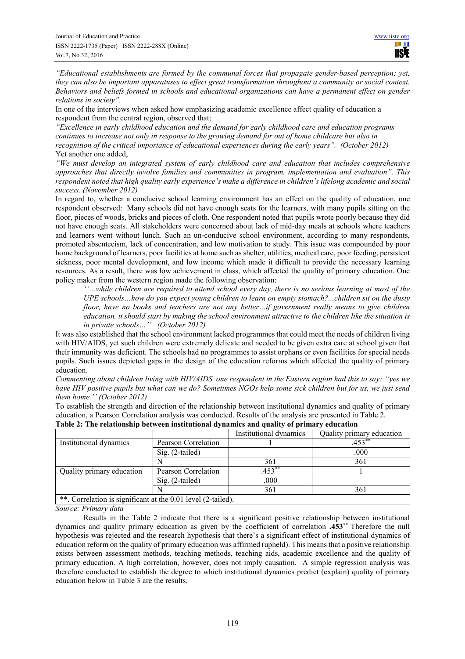*"Educational establishments are formed by the communal forces that propagate gender-based perception; yet, they can also be important apparatuses to effect great transformation throughout a community or social context. Behaviors and beliefs formed in schools and educational organizations can have a permanent effect on gender relations in society".* 

In one of the interviews when asked how emphasizing academic excellence affect quality of education a respondent from the central region, observed that;

*"Excellence in early childhood education and the demand for early childhood care and education programs continues to increase not only in response to the growing demand for out of home childcare but also in recognition of the critical importance of educational experiences during the early years". (October 2012)* Yet another one added,

*"We must develop an integrated system of early childhood care and education that includes comprehensive approaches that directly involve families and communities in program, implementation and evaluation". This respondent noted that high quality early experience's make a difference in children's lifelong academic and social success. (November 2012)* 

In regard to, whether a conducive school learning environment has an effect on the quality of education, one respondent observed: Many schools did not have enough seats for the learners, with many pupils sitting on the floor, pieces of woods, bricks and pieces of cloth. One respondent noted that pupils wrote poorly because they did not have enough seats. All stakeholders were concerned about lack of mid-day meals at schools where teachers and learners went without lunch. Such an un-conducive school environment, according to many respondents, promoted absenteeism, lack of concentration, and low motivation to study. This issue was compounded by poor home background of learners, poor facilities at home such as shelter, utilities, medical care, poor feeding, persistent sickness, poor mental development, and low income which made it difficult to provide the necessary learning resources. As a result, there was low achievement in class, which affected the quality of primary education. One policy maker from the western region made the following observation:

*''…while children are required to attend school every day, there is no serious learning at most of the UPE schools…how do you expect young children to learn on empty stomach?...children sit on the dusty floor, have no books and teachers are not any better…if government really means to give children education, it should start by making the school environment attractive to the children like the situation is in private schools…'' (October 2012)* 

It was also established that the school environment lacked programmes that could meet the needs of children living with HIV/AIDS, yet such children were extremely delicate and needed to be given extra care at school given that their immunity was deficient. The schools had no programmes to assist orphans or even facilities for special needs pupils. Such issues depicted gaps in the design of the education reforms which affected the quality of primary education*.* 

*Commenting about children living with HIV/AIDS, one respondent in the Eastern region had this to say: ''yes we have HIV positive pupils but what can we do? Sometimes NGOs help some sick children but for us, we just send them home.'' (October 2012)*

To establish the strength and direction of the relationship between institutional dynamics and quality of primary

| education, a Pearson Correlation analysis was conducted. Results of the analysis are presented in Table 2. |                     |                        |                           |  |  |  |  |
|------------------------------------------------------------------------------------------------------------|---------------------|------------------------|---------------------------|--|--|--|--|
| Table 2: The relationship between institutional dynamics and quality of primary education                  |                     |                        |                           |  |  |  |  |
|                                                                                                            |                     | Institutional dynamics | Quality primary education |  |  |  |  |
| Institutional dynamics                                                                                     | Pearson Correlation |                        | $.453***$                 |  |  |  |  |

|                                                              |                     | Institutional dynamics | Quality primary education |  |  |  |  |
|--------------------------------------------------------------|---------------------|------------------------|---------------------------|--|--|--|--|
| Institutional dynamics                                       | Pearson Correlation |                        | $.453**$                  |  |  |  |  |
|                                                              | $Sig. (2-tailed)$   |                        | .000                      |  |  |  |  |
|                                                              |                     | 361                    | 361                       |  |  |  |  |
| Quality primary education                                    | Pearson Correlation | $.453***$              |                           |  |  |  |  |
|                                                              | $Sig. (2-tailed)$   | .000                   |                           |  |  |  |  |
|                                                              |                     | 361                    | 361                       |  |  |  |  |
| **. Correlation is significant at the 0.01 level (2-tailed). |                     |                        |                           |  |  |  |  |

*Source: Primary data*

Results in the Table 2 indicate that there is a significant positive relationship between institutional dynamics and quality primary education as given by the coefficient of correlation **.453\*\*** Therefore the null hypothesis was rejected and the research hypothesis that there's a significant effect of institutional dynamics of education reform on the quality of primary education was affirmed (upheld). This means that a positive relationship exists between assessment methods, teaching methods, teaching aids, academic excellence and the quality of primary education. A high correlation, however, does not imply causation. A simple regression analysis was therefore conducted to establish the degree to which institutional dynamics predict (explain) quality of primary education below in Table 3 are the results.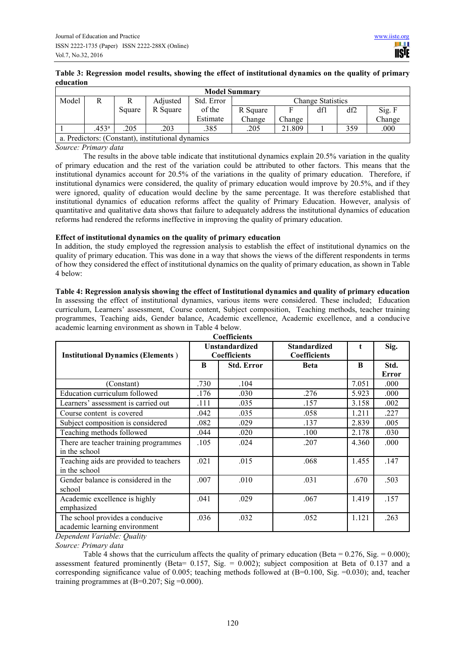# **Table 3: Regression model results, showing the effect of institutional dynamics on the quality of primary education**

| <b>Model Summary</b> |                                                   |        |          |            |                          |        |     |     |        |
|----------------------|---------------------------------------------------|--------|----------|------------|--------------------------|--------|-----|-----|--------|
| Model                |                                                   |        | Adjusted | Std. Error | <b>Change Statistics</b> |        |     |     |        |
|                      |                                                   | Square | R Square | of the     | R Square                 |        | df1 | df2 | Sig. F |
|                      |                                                   |        |          | Estimate   | Change                   | Change |     |     | Change |
|                      | .453 <sup>a</sup>                                 | 205    | 203      | .385       | .205                     | 21.809 |     | 359 | .000   |
|                      | a. Predictors: (Constant), institutional dynamics |        |          |            |                          |        |     |     |        |

# *Source: Primary data*

The results in the above table indicate that institutional dynamics explain 20.5% variation in the quality of primary education and the rest of the variation could be attributed to other factors. This means that the institutional dynamics account for 20.5% of the variations in the quality of primary education. Therefore, if institutional dynamics were considered, the quality of primary education would improve by 20.5%, and if they were ignored, quality of education would decline by the same percentage. It was therefore established that institutional dynamics of education reforms affect the quality of Primary Education. However, analysis of quantitative and qualitative data shows that failure to adequately address the institutional dynamics of education reforms had rendered the reforms ineffective in improving the quality of primary education.

# **Effect of institutional dynamics on the quality of primary education**

In addition, the study employed the regression analysis to establish the effect of institutional dynamics on the quality of primary education. This was done in a way that shows the views of the different respondents in terms of how they considered the effect of institutional dynamics on the quality of primary education, as shown in Table 4 below:

**Table 4: Regression analysis showing the effect of Institutional dynamics and quality of primary education**  In assessing the effect of institutional dynamics, various items were considered. These included; Education curriculum, Learners' assessment, Course content, Subject composition, Teaching methods, teacher training programmes, Teaching aids, Gender balance, Academic excellence, Academic excellence, and a conducive academic learning environment as shown in Table 4 below.

| <b>Institutional Dynamics (Elements)</b>                         |      | <b>Unstandardized</b><br><b>Coefficients</b> | <b>Standardized</b><br><b>Coefficients</b> | t     | Sig.                 |
|------------------------------------------------------------------|------|----------------------------------------------|--------------------------------------------|-------|----------------------|
|                                                                  | B    | <b>Std. Error</b>                            | <b>Beta</b>                                | B     | Std.<br><b>Error</b> |
| (Constant)                                                       | .730 | .104                                         |                                            | 7.051 | .000                 |
| Education curriculum followed                                    | .176 | .030                                         | .276                                       | 5.923 | .000                 |
| Learners' assessment is carried out                              | .111 | .035                                         | .157                                       | 3.158 | .002                 |
| Course content is covered                                        | .042 | .035                                         | .058                                       | 1.211 | .227                 |
| Subject composition is considered                                | .082 | .029                                         | .137                                       | 2.839 | .005                 |
| Teaching methods followed                                        | .044 | .020                                         | .100                                       | 2.178 | .030                 |
| There are teacher training programmes<br>in the school           | .105 | .024                                         | .207                                       | 4.360 | .000                 |
| Teaching aids are provided to teachers<br>in the school          | .021 | .015                                         | .068                                       | 1.455 | .147                 |
| Gender balance is considered in the<br>school                    | .007 | .010                                         | .031                                       | .670  | .503                 |
| Academic excellence is highly<br>emphasized                      | .041 | .029                                         | .067                                       | 1.419 | .157                 |
| The school provides a conducive<br>academic learning environment | .036 | .032                                         | .052                                       | 1.121 | .263                 |

*Dependent Variable: Quality* 

*Source: Primary data* 

Table 4 shows that the curriculum affects the quality of primary education (Beta =  $0.276$ , Sig. =  $0.000$ ); assessment featured prominently (Beta=  $0.157$ , Sig. =  $0.002$ ); subject composition at Beta of 0.137 and a corresponding significance value of 0.005; teaching methods followed at  $(B=0.100, Sig. =0.030)$ ; and, teacher training programmes at  $(B=0.207; Sig = 0.000)$ .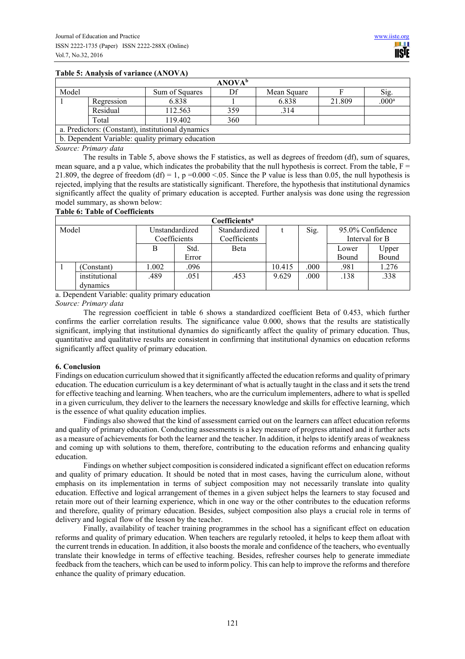#### **Table 5: Analysis of variance (ANOVA)**

|                                                   |                                                  |                | <b>ANOVA</b> <sup>b</sup> |             |        |                   |  |  |
|---------------------------------------------------|--------------------------------------------------|----------------|---------------------------|-------------|--------|-------------------|--|--|
| Model                                             |                                                  | Sum of Squares | Df                        | Mean Square |        | Sig.              |  |  |
|                                                   | Regression                                       | 6.838          |                           | 6.838       | 21.809 | .000 <sup>a</sup> |  |  |
|                                                   | Residual                                         | 112.563        | 359                       | .314        |        |                   |  |  |
| 119.402<br>360<br>Total                           |                                                  |                |                           |             |        |                   |  |  |
| a. Predictors: (Constant), institutional dynamics |                                                  |                |                           |             |        |                   |  |  |
|                                                   | b. Dependent Variable: quality primary education |                |                           |             |        |                   |  |  |

*Source: Primary data*

The results in Table 5, above shows the F statistics, as well as degrees of freedom (df), sum of squares, mean square, and a p value, which indicates the probability that the null hypothesis is correct. From the table,  $F =$ 21.809, the degree of freedom (df) = 1, p = 0.000 <.05. Since the P value is less than 0.05, the null hypothesis is rejected, implying that the results are statistically significant. Therefore, the hypothesis that institutional dynamics significantly affect the quality of primary education is accepted. Further analysis was done using the regression model summary, as shown below:

#### **Table 6: Table of Coefficients**

| Coefficients <sup>a</sup> |               |                |              |              |        |                          |       |                |  |
|---------------------------|---------------|----------------|--------------|--------------|--------|--------------------------|-------|----------------|--|
| Model                     |               | Unstandardized |              | Standardized |        | Sig.<br>95.0% Confidence |       |                |  |
|                           |               |                | Coefficients | Coefficients |        |                          |       | Interval for B |  |
|                           |               |                | Std.         | <b>Beta</b>  |        |                          | Lower | Upper          |  |
|                           |               |                | Error        |              |        |                          | Bound | Bound          |  |
|                           | Constant)     | .002           | .096         |              | 10.415 | .000                     | .981  | 1.276          |  |
|                           | institutional | .489           | .051         | .453         | 9.629  | .000                     | .138  | .338           |  |
|                           | dynamics      |                |              |              |        |                          |       |                |  |

## a. Dependent Variable: quality primary education

# *Source: Primary data*

The regression coefficient in table 6 shows a standardized coefficient Beta of 0.453, which further confirms the earlier correlation results. The significance value 0.000, shows that the results are statistically significant, implying that institutional dynamics do significantly affect the quality of primary education. Thus, quantitative and qualitative results are consistent in confirming that institutional dynamics on education reforms significantly affect quality of primary education.

#### **6. Conclusion**

Findings on education curriculum showed that it significantly affected the education reforms and quality of primary education. The education curriculum is a key determinant of what is actually taught in the class and it sets the trend for effective teaching and learning. When teachers, who are the curriculum implementers, adhere to what is spelled in a given curriculum, they deliver to the learners the necessary knowledge and skills for effective learning, which is the essence of what quality education implies.

Findings also showed that the kind of assessment carried out on the learners can affect education reforms and quality of primary education. Conducting assessments is a key measure of progress attained and it further acts as a measure of achievements for both the learner and the teacher. In addition, it helps to identify areas of weakness and coming up with solutions to them, therefore, contributing to the education reforms and enhancing quality education.

Findings on whether subject composition is considered indicated a significant effect on education reforms and quality of primary education. It should be noted that in most cases, having the curriculum alone, without emphasis on its implementation in terms of subject composition may not necessarily translate into quality education. Effective and logical arrangement of themes in a given subject helps the learners to stay focused and retain more out of their learning experience, which in one way or the other contributes to the education reforms and therefore, quality of primary education. Besides, subject composition also plays a crucial role in terms of delivery and logical flow of the lesson by the teacher.

Finally, availability of teacher training programmes in the school has a significant effect on education reforms and quality of primary education. When teachers are regularly retooled, it helps to keep them afloat with the current trends in education. In addition, it also boosts the morale and confidence of the teachers, who eventually translate their knowledge in terms of effective teaching. Besides, refresher courses help to generate immediate feedback from the teachers, which can be used to inform policy. This can help to improve the reforms and therefore enhance the quality of primary education.